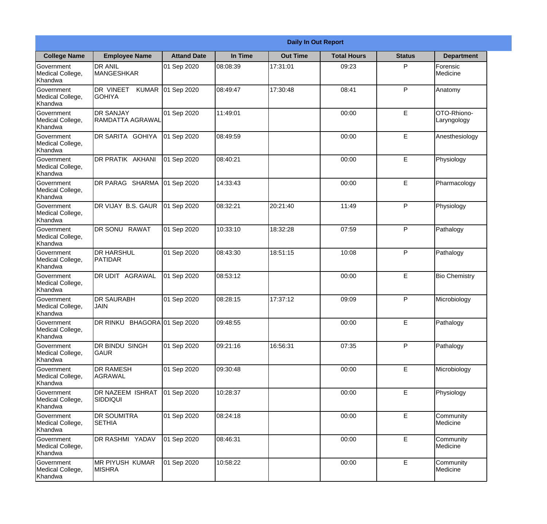|                                                  |                                            |                    |          | <b>Daily In Out Report</b> |                    |               |                            |
|--------------------------------------------------|--------------------------------------------|--------------------|----------|----------------------------|--------------------|---------------|----------------------------|
| <b>College Name</b>                              | <b>Employee Name</b>                       | <b>Attand Date</b> | In Time  | <b>Out Time</b>            | <b>Total Hours</b> | <b>Status</b> | <b>Department</b>          |
| Government<br>Medical College,<br>Khandwa        | <b>DR ANIL</b><br><b>MANGESHKAR</b>        | 01 Sep 2020        | 08:08:39 | 17:31:01                   | 09:23              | P             | Forensic<br>Medicine       |
| Government<br>Medical College,<br>Khandwa        | DR VINEET<br><b>KUMAR</b><br><b>GOHIYA</b> | 01 Sep 2020        | 08:49:47 | 17:30:48                   | 08:41              | P             | Anatomy                    |
| <b>Government</b><br>Medical College,<br>Khandwa | <b>IDR SANJAY</b><br>RAMDATTA AGRAWAL      | 01 Sep 2020        | 11:49:01 |                            | 00:00              | E             | OTO-Rhiono-<br>Laryngology |
| Government<br>Medical College,<br>Khandwa        | DR SARITA GOHIYA                           | 01 Sep 2020        | 08:49:59 |                            | 00:00              | E             | Anesthesiology             |
| Government<br>Medical College,<br>Khandwa        | DR PRATIK AKHANI                           | 01 Sep 2020        | 08:40:21 |                            | 00:00              | E             | Physiology                 |
| Government<br>Medical College,<br>Khandwa        | DR PARAG SHARMA                            | 01 Sep 2020        | 14:33:43 |                            | 00:00              | E             | Pharmacology               |
| <b>Government</b><br>Medical College,<br>Khandwa | DR VIJAY B.S. GAUR                         | 01 Sep 2020        | 08:32:21 | 20:21:40                   | 11:49              | P             | Physiology                 |
| Government<br>Medical College,<br>Khandwa        | <b>DR SONU RAWAT</b>                       | 01 Sep 2020        | 10:33:10 | 18:32:28                   | 07:59              | P             | Pathalogy                  |
| Government<br>Medical College,<br>Khandwa        | <b>DR HARSHUL</b><br>PATIDAR               | 01 Sep 2020        | 08:43:30 | 18:51:15                   | 10:08              | P             | Pathalogy                  |
| Government<br>Medical College,<br>Khandwa        | <b>DR UDIT AGRAWAL</b>                     | 01 Sep 2020        | 08:53:12 |                            | 00:00              | E             | <b>Bio Chemistry</b>       |
| Government<br>Medical College,<br>Khandwa        | IDR SAURABH<br><b>JAIN</b>                 | 01 Sep 2020        | 08:28:15 | 17:37:12                   | 09:09              | $\mathsf{P}$  | Microbiology               |
| Government<br>Medical College,<br>Khandwa        | DR RINKU BHAGORA 01 Sep 2020               |                    | 09:48:55 |                            | 00:00              | E             | Pathalogy                  |
| Government<br>Medical College,<br>Khandwa        | <b>DR BINDU SINGH</b><br><b>GAUR</b>       | 01 Sep 2020        | 09:21:16 | 16:56:31                   | 07:35              | P             | Pathalogy                  |
| Government<br>Medical College,<br>Khandwa        | <b>DR RAMESH</b><br>AGRAWAL                | 01 Sep 2020        | 09:30:48 |                            | 00:00              | E             | Microbiology               |
| Government<br>Medical College,<br>Khandwa        | <b>DR NAZEEM ISHRAT</b><br>SIDDIQUI        | 01 Sep 2020        | 10:28:37 |                            | 00:00              | E             | Physiology                 |
| Government<br>Medical College,<br>Khandwa        | <b>DR SOUMITRA</b><br><b>SETHIA</b>        | 01 Sep 2020        | 08:24:18 |                            | 00:00              | E             | Community<br>Medicine      |
| Government<br>Medical College,<br>Khandwa        | DR RASHMI YADAV                            | 01 Sep 2020        | 08:46:31 |                            | 00:00              | E             | Community<br>Medicine      |
| Government<br>Medical College,<br>Khandwa        | <b>MR PIYUSH KUMAR</b><br><b>MISHRA</b>    | 01 Sep 2020        | 10:58:22 |                            | 00:00              | E             | Community<br>Medicine      |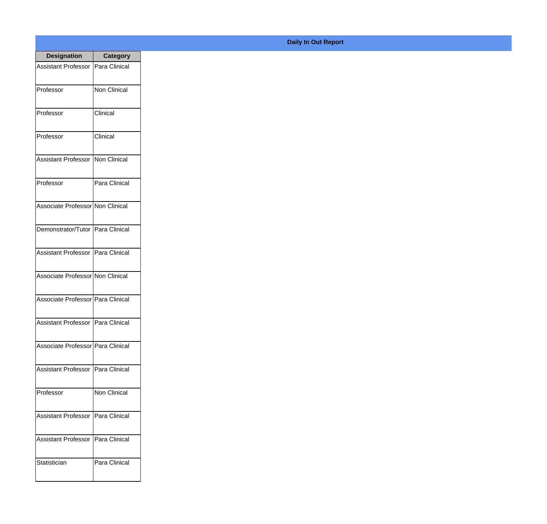| <b>Designation</b>                  | <b>Category</b> |
|-------------------------------------|-----------------|
| <b>Assistant Professor</b>          | Para Clinical   |
| Professor                           | Non Clinical    |
| Professor                           | Clinical        |
| Professor                           | Clinical        |
| <b>Assistant Professor</b>          | Non Clinical    |
| Professor                           | Para Clinical   |
| Associate Professor Non Clinical    |                 |
| Demonstrator/Tutor   Para Clinical  |                 |
| Assistant Professor   Para Clinical |                 |
| Associate Professor Non Clinical    |                 |
| Associate Professor Para Clinical   |                 |
| Assistant Professor   Para Clinical |                 |
| Associate Professor   Para Clinical |                 |
| <b>Assistant Professor</b>          | Para Clinical   |
| Professor                           | Non Clinical    |
| <b>Assistant Professor</b>          | Para Clinical   |
| <b>Assistant Professor</b>          | Para Clinical   |
| Statistician                        | Para Clinical   |

## **Daily In Out Report**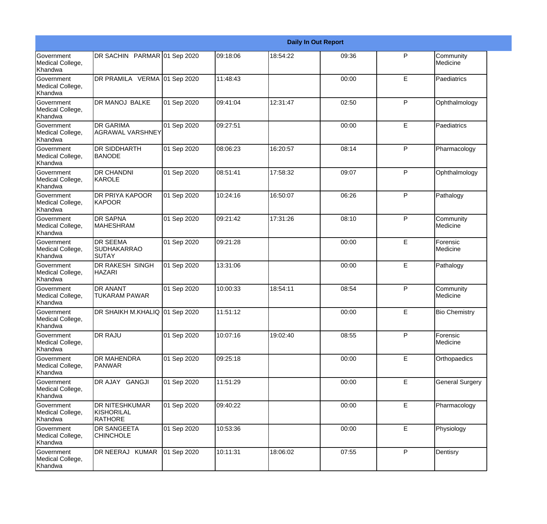|                                                  |                                                       |             |          |          | <b>Daily In Out Report</b> |   |                        |
|--------------------------------------------------|-------------------------------------------------------|-------------|----------|----------|----------------------------|---|------------------------|
| Government<br>Medical College,<br>Khandwa        | DR SACHIN PARMAR 01 Sep 2020                          |             | 09:18:06 | 18:54:22 | 09:36                      | P | Community<br>Medicine  |
| Government<br>Medical College,<br>Khandwa        | DR PRAMILA VERMA 01 Sep 2020                          |             | 11:48:43 |          | 00:00                      | E | Paediatrics            |
| <b>Government</b><br>Medical College,<br>Khandwa | <b>DR MANOJ BALKE</b>                                 | 01 Sep 2020 | 09:41:04 | 12:31:47 | 02:50                      | P | Ophthalmology          |
| <b>Government</b><br>Medical College,<br>Khandwa | <b>DR GARIMA</b><br><b>AGRAWAL VARSHNEY</b>           | 01 Sep 2020 | 09:27:51 |          | 00:00                      | E | Paediatrics            |
| Government<br>Medical College,<br>Khandwa        | <b>DR SIDDHARTH</b><br><b>BANODE</b>                  | 01 Sep 2020 | 08:06:23 | 16:20:57 | 08:14                      | P | Pharmacology           |
| Government<br>Medical College,<br>Khandwa        | <b>DR CHANDNI</b><br><b>KAROLE</b>                    | 01 Sep 2020 | 08:51:41 | 17:58:32 | 09:07                      | P | Ophthalmology          |
| Government<br>Medical College,<br>Khandwa        | <b>DR PRIYA KAPOOR</b><br><b>KAPOOR</b>               | 01 Sep 2020 | 10:24:16 | 16:50:07 | 06:26                      | P | Pathalogy              |
| Government<br>Medical College,<br>Khandwa        | <b>DR SAPNA</b><br><b>MAHESHRAM</b>                   | 01 Sep 2020 | 09:21:42 | 17:31:26 | 08:10                      | P | Community<br>Medicine  |
| Government<br>Medical College,<br>Khandwa        | <b>DR SEEMA</b><br><b>SUDHAKARRAO</b><br>SUTAY        | 01 Sep 2020 | 09:21:28 |          | 00:00                      | E | Forensic<br>Medicine   |
| Government<br>Medical College,<br>Khandwa        | <b>DR RAKESH SINGH</b><br><b>HAZARI</b>               | 01 Sep 2020 | 13:31:06 |          | 00:00                      | E | Pathalogy              |
| <b>Government</b><br>Medical College,<br>Khandwa | <b>DR ANANT</b><br><b>TUKARAM PAWAR</b>               | 01 Sep 2020 | 10:00:33 | 18:54:11 | 08:54                      | P | Community<br>Medicine  |
| Government<br>Medical College,<br>Khandwa        | DR SHAIKH M.KHALIQ 01 Sep 2020                        |             | 11:51:12 |          | 00:00                      | E | <b>Bio Chemistry</b>   |
| Government<br>Medical College,<br>Khandwa        | <b>DR RAJU</b>                                        | 01 Sep 2020 | 10:07:16 | 19:02:40 | 08:55                      | P | Forensic<br>Medicine   |
| <b>Government</b><br>Medical College,<br>Khandwa | <b>DR MAHENDRA</b><br><b>PANWAR</b>                   | 01 Sep 2020 | 09:25:18 |          | 00:00                      | E | Orthopaedics           |
| Government<br>Medical College,<br>Khandwa        | DR AJAY GANGJI                                        | 01 Sep 2020 | 11:51:29 |          | 00:00                      | E | <b>General Surgery</b> |
| Government<br>Medical College,<br>Khandwa        | <b>DR NITESHKUMAR</b><br>KISHORILAL<br><b>RATHORE</b> | 01 Sep 2020 | 09:40:22 |          | 00:00                      | E | Pharmacology           |
| Government<br>Medical College,<br>Khandwa        | DR SANGEETA<br><b>CHINCHOLE</b>                       | 01 Sep 2020 | 10:53:36 |          | 00:00                      | E | Physiology             |
| Government<br>Medical College,<br>Khandwa        | DR NEERAJ KUMAR                                       | 01 Sep 2020 | 10:11:31 | 18:06:02 | 07:55                      | P | Dentisry               |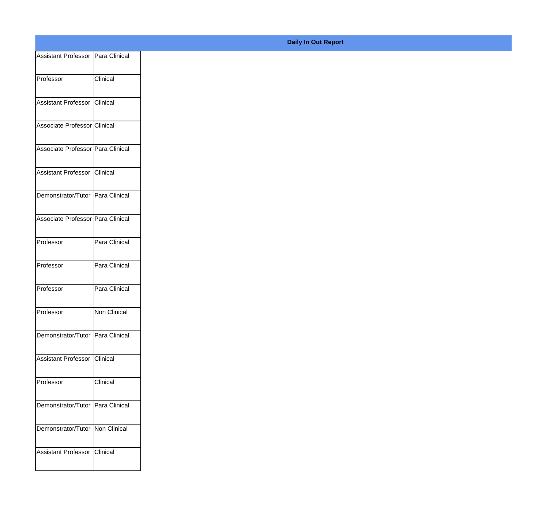| Assistant Professor   Para Clinical |                 |
|-------------------------------------|-----------------|
| Professor                           | Clinical        |
|                                     |                 |
| Assistant Professor                 | Clinical        |
| Associate Professor Clinical        |                 |
|                                     |                 |
| Associate Professor Para Clinical   |                 |
| Assistant Professor Clinical        |                 |
| Demonstrator/Tutor Para Clinical    |                 |
|                                     |                 |
| Associate Professor Para Clinical   |                 |
| Professor                           | Para Clinical   |
| Professor                           | Para Clinical   |
|                                     |                 |
| Professor                           | Para Clinical   |
| Professor                           | Non Clinical    |
|                                     |                 |
| Demonstrator/Tutor Para Clinical    |                 |
| Assistant Professor                 | Clinical        |
| Professor                           | Clinical        |
|                                     |                 |
| Demonstrator/Tutor Para Clinical    |                 |
| Demonstrator/Tutor   Non Clinical   |                 |
|                                     |                 |
| Assistant Professor                 | <b>Clinical</b> |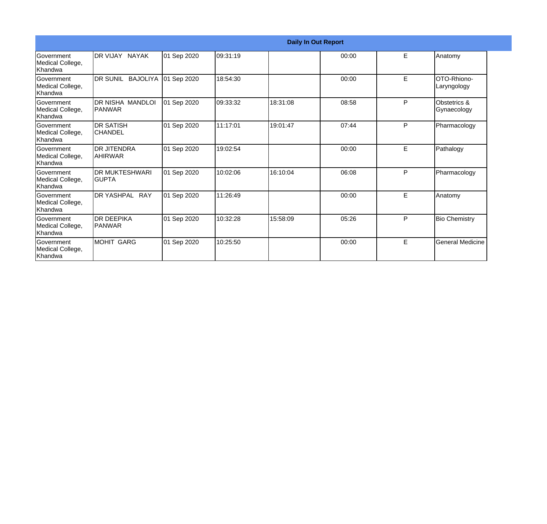|                                                  |                                     |             |          |          | <b>Daily In Out Report</b> |   |                                        |
|--------------------------------------------------|-------------------------------------|-------------|----------|----------|----------------------------|---|----------------------------------------|
| Government<br>Medical College,<br>Khandwa        | IDR VIJAY NAYAK                     | 01 Sep 2020 | 09:31:19 |          | 00:00                      | E | Anatomy                                |
| <b>Sovernment</b><br>Medical College,<br>Khandwa | DR SUNIL BAJOLIYA                   | 01 Sep 2020 | 18:54:30 |          | 00:00                      | E | OTO-Rhiono-<br>Laryngology             |
| Government<br>Medical College,<br>Khandwa        | IDR NISHA MANDLOI<br><b>IPANWAR</b> | 01 Sep 2020 | 09:33:32 | 18:31:08 | 08:58                      | P | <b>Obstetrics &amp;</b><br>Gynaecology |
| <b>Government</b><br>Medical College,<br>Khandwa | <b>DR SATISH</b><br><b>CHANDEL</b>  | 01 Sep 2020 | 11:17:01 | 19:01:47 | 07:44                      | P | Pharmacology                           |
| Government<br>Medical College,<br><b>Khandwa</b> | IDR JITENDRA<br>IAHIRWAR            | 01 Sep 2020 | 19:02:54 |          | 00:00                      | E | Pathalogy                              |
| Government<br>Medical College,<br><b>Khandwa</b> | IDR MUKTESHWARI<br><b>I</b> GUPTA   | 01 Sep 2020 | 10:02:06 | 16:10:04 | 06:08                      | P | Pharmacology                           |
| Government<br>Medical College,<br>Khandwa        | DR YASHPAL RAY                      | 01 Sep 2020 | 11:26:49 |          | 00:00                      | E | Anatomy                                |
| <b>Government</b><br>Medical College,<br>Khandwa | <b>IDR DEEPIKA</b><br><b>PANWAR</b> | 01 Sep 2020 | 10:32:28 | 15:58:09 | 05:26                      | P | <b>Bio Chemistry</b>                   |
| Government<br>Medical College,<br>Khandwa        | MOHIT GARG                          | 01 Sep 2020 | 10:25:50 |          | 00:00                      | E | <b>General Medicine</b>                |